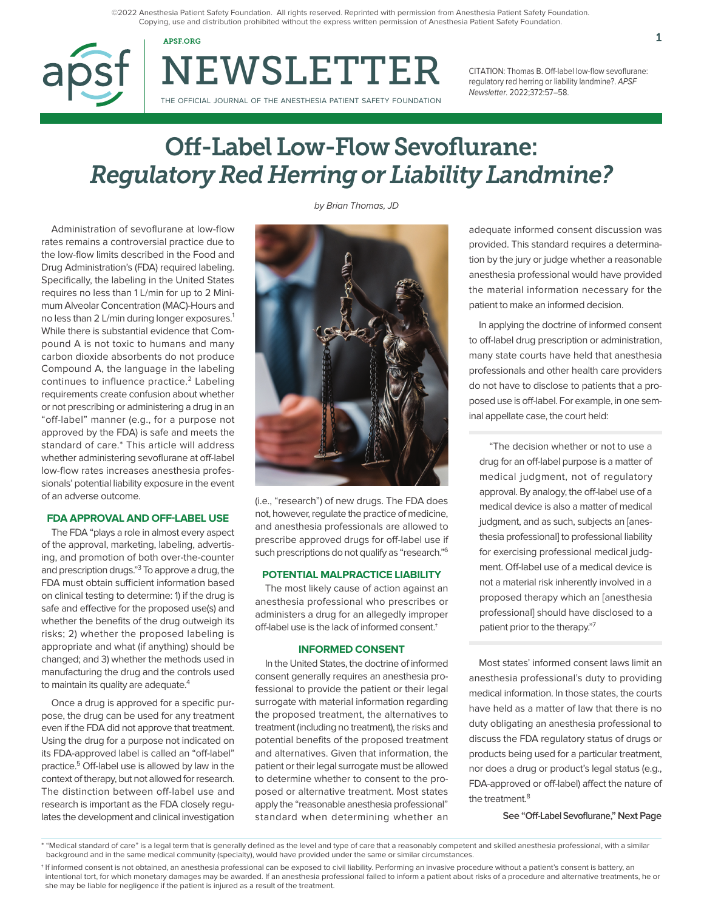©2022 Anesthesia Patient Safety Foundation. All rights reserved. Reprinted with permission from Anesthesia Patient Safety Foundation. Copying, use and distribution prohibited without the express written permission of Anesthesia Patient Safety Foundation.

APSF.ORG  $1$ 

NEWSLETTER THE OFFICIAL JOURNAL OF THE ANESTHESIA PATIENT SAFETY FOUNDATION

CITATION: Thomas B. Off-label low-flow sevoflurane: regulatory red herring or liability landmine?. APSF Newsletter. 2022;372:57–58.

# Off-Label Low-Flow Sevoflurane: *Regulatory Red Herring or Liability Landmine?*

Administration of sevoflurane at low-flow rates remains a controversial practice due to the low-flow limits described in the Food and Drug Administration's (FDA) required labeling. Specifically, the labeling in the United States requires no less than 1 L/min for up to 2 Minimum Alveolar Concentration (MAC)-Hours and no less than 2 L/min during longer exposures.<sup>1</sup> While there is substantial evidence that Compound A is not toxic to humans and many carbon dioxide absorbents do not produce Compound A, the language in the labeling continues to influence practice. $2$  Labeling requirements create confusion about whether or not prescribing or administering a drug in an "off-label" manner (e.g., for a purpose not approved by the FDA) is safe and meets the standard of care.\* This article will address whether administering sevoflurane at off-label low-flow rates increases anesthesia professionals' potential liability exposure in the event of an adverse outcome.

## **FDA APPROVAL AND OFF-LABEL USE**

The FDA "plays a role in almost every aspect of the approval, marketing, labeling, advertising, and promotion of both over-the-counter and prescription drugs."3 To approve a drug, the FDA must obtain sufficient information based on clinical testing to determine: 1) if the drug is safe and effective for the proposed use(s) and whether the benefits of the drug outweigh its risks; 2) whether the proposed labeling is appropriate and what (if anything) should be changed; and 3) whether the methods used in manufacturing the drug and the controls used to maintain its quality are adequate.<sup>4</sup>

Once a drug is approved for a specific purpose, the drug can be used for any treatment even if the FDA did not approve that treatment. Using the drug for a purpose not indicated on its FDA-approved label is called an "off-label" practice.5 Off-label use is allowed by law in the context of therapy, but not allowed for research. The distinction between off-label use and research is important as the FDA closely regulates the development and clinical investigation by Brian Thomas, JD



(i.e., "research") of new drugs. The FDA does not, however, regulate the practice of medicine, and anesthesia professionals are allowed to prescribe approved drugs for off-label use if such prescriptions do not qualify as "research."6

## **POTENTIAL MALPRACTICE LIABILITY**

The most likely cause of action against an anesthesia professional who prescribes or administers a drug for an allegedly improper off-label use is the lack of informed consent.†

#### **INFORMED CONSENT**

In the United States, the doctrine of informed consent generally requires an anesthesia professional to provide the patient or their legal surrogate with material information regarding the proposed treatment, the alternatives to treatment (including no treatment), the risks and potential benefits of the proposed treatment and alternatives. Given that information, the patient or their legal surrogate must be allowed to determine whether to consent to the proposed or alternative treatment. Most states apply the "reasonable anesthesia professional" standard when determining whether an adequate informed consent discussion was provided. This standard requires a determination by the jury or judge whether a reasonable anesthesia professional would have provided the material information necessary for the patient to make an informed decision.

In applying the doctrine of informed consent to off-label drug prescription or administration, many state courts have held that anesthesia professionals and other health care providers do not have to disclose to patients that a proposed use is off-label. For example, in one seminal appellate case, the court held:

"The decision whether or not to use a drug for an off-label purpose is a matter of medical judgment, not of regulatory approval. By analogy, the off-label use of a medical device is also a matter of medical judgment, and as such, subjects an [anesthesia professional] to professional liability for exercising professional medical judgment. Off-label use of a medical device is not a material risk inherently involved in a proposed therapy which an [anesthesia professional] should have disclosed to a patient prior to the therapy."7

Most states' informed consent laws limit an anesthesia professional's duty to providing medical information. In those states, the courts have held as a matter of law that there is no duty obligating an anesthesia professional to discuss the FDA regulatory status of drugs or products being used for a particular treatment, nor does a drug or product's legal status (e.g., FDA-approved or off-label) affect the nature of the treatment.<sup>8</sup>

**See "Off-Label Sevoflurane," Next Page**

<sup>\* &</sup>quot;Medical standard of care" is a legal term that is generally defined as the level and type of care that a reasonably competent and skilled anesthesia professional, with a similar background and in the same medical community (specialty), would have provided under the same or similar circumstances.

<sup>†</sup> If informed consent is not obtained, an anesthesia professional can be exposed to civil liability. Performing an invasive procedure without a patient's consent is battery, an intentional tort, for which monetary damages may be awarded. If an anesthesia professional failed to inform a patient about risks of a procedure and alternative treatments, he or she may be liable for negligence if the patient is injured as a result of the treatment.